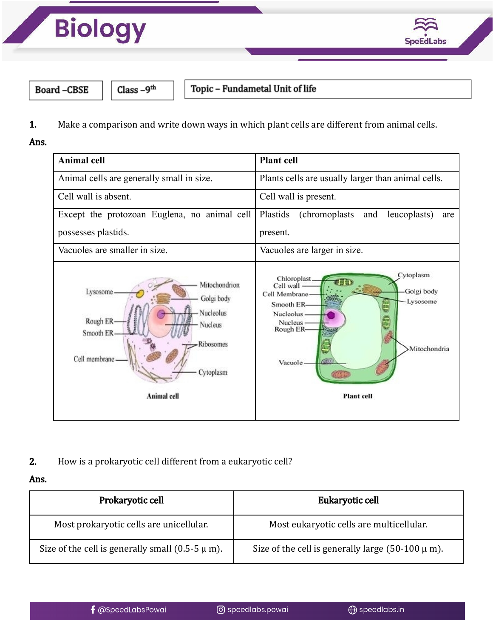



**Board-CBSE** 

Class  $-9<sup>th</sup>$ 

Topic - Fundametal Unit of life

1. Make a comparison and write down ways in which plant cells are different from animal cells.

Ans.



2. How is a prokaryotic cell different from a eukaryotic cell?

## Ans.

| Prokaryotic cell                                      | Eukaryotic cell                                        |
|-------------------------------------------------------|--------------------------------------------------------|
| Most prokaryotic cells are unicellular.               | Most eukaryotic cells are multicellular.               |
| Size of the cell is generally small $(0.5-5 \mu m)$ . | Size of the cell is generally large $(50-100 \mu m)$ . |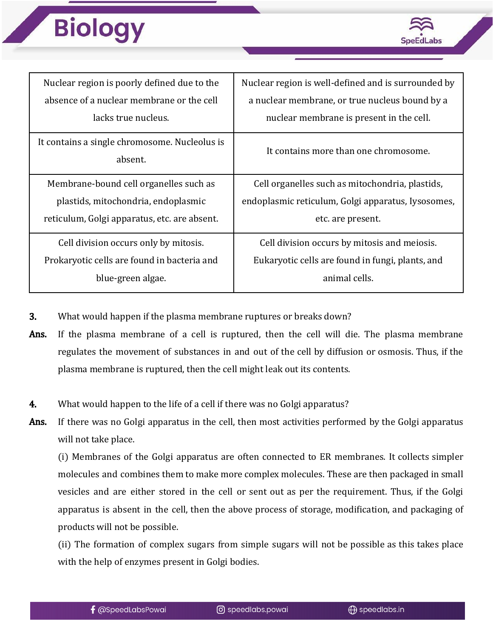## **Biology**



| Nuclear region is poorly defined due to the              | Nuclear region is well-defined and is surrounded by |
|----------------------------------------------------------|-----------------------------------------------------|
| absence of a nuclear membrane or the cell                | a nuclear membrane, or true nucleus bound by a      |
| lacks true nucleus.                                      | nuclear membrane is present in the cell.            |
| It contains a single chromosome. Nucleolus is<br>absent. | It contains more than one chromosome.               |
| Membrane-bound cell organelles such as                   | Cell organelles such as mitochondria, plastids,     |
| plastids, mitochondria, endoplasmic                      | endoplasmic reticulum, Golgi apparatus, Iysosomes,  |
| reticulum, Golgi apparatus, etc. are absent.             | etc. are present.                                   |
| Cell division occurs only by mitosis.                    | Cell division occurs by mitosis and meiosis.        |
| Prokaryotic cells are found in bacteria and              | Eukaryotic cells are found in fungi, plants, and    |
| blue-green algae.                                        | animal cells.                                       |

- 3. What would happen if the plasma membrane ruptures or breaks down?
- Ans. If the plasma membrane of a cell is ruptured, then the cell will die. The plasma membrane regulates the movement of substances in and out of the cell by diffusion or osmosis. Thus, if the plasma membrane is ruptured, then the cell might leak out its contents.
- 4. What would happen to the life of a cell if there was no Golgi apparatus?
- Ans. If there was no Golgi apparatus in the cell, then most activities performed by the Golgi apparatus will not take place.

(i) Membranes of the Golgi apparatus are often connected to ER membranes. It collects simpler molecules and combines them to make more complex molecules. These are then packaged in small vesicles and are either stored in the cell or sent out as per the requirement. Thus, if the Golgi apparatus is absent in the cell, then the above process of storage, modification, and packaging of products will not be possible.

(ii) The formation of complex sugars from simple sugars will not be possible as this takes place with the help of enzymes present in Golgi bodies.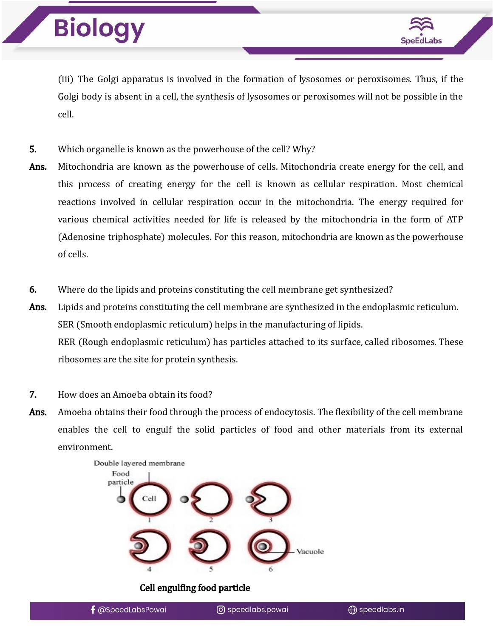

(iii) The Golgi apparatus is involved in the formation of lysosomes or peroxisomes. Thus, if the Golgi body is absent in a cell, the synthesis of lysosomes or peroxisomes will not be possible in the cell.

- 5. Which organelle is known as the powerhouse of the cell? Why?
- Ans. Mitochondria are known as the powerhouse of cells. Mitochondria create energy for the cell, and this process of creating energy for the cell is known as cellular respiration. Most chemical reactions involved in cellular respiration occur in the mitochondria. The energy required for various chemical activities needed for life is released by the mitochondria in the form of ATP (Adenosine triphosphate) molecules. For this reason, mitochondria are known as the powerhouse of cells.
- 6. Where do the lipids and proteins constituting the cell membrane get synthesized?

Ans. Lipids and proteins constituting the cell membrane are synthesized in the endoplasmic reticulum. SER (Smooth endoplasmic reticulum) helps in the manufacturing of lipids. RER (Rough endoplasmic reticulum) has particles attached to its surface, called ribosomes. These ribosomes are the site for protein synthesis.

- 7. How does an Amoeba obtain its food?
- Ans. Amoeba obtains their food through the process of endocytosis. The flexibility of the cell membrane enables the cell to engulf the solid particles of food and other materials from its external environment.



Cell engulfing food particle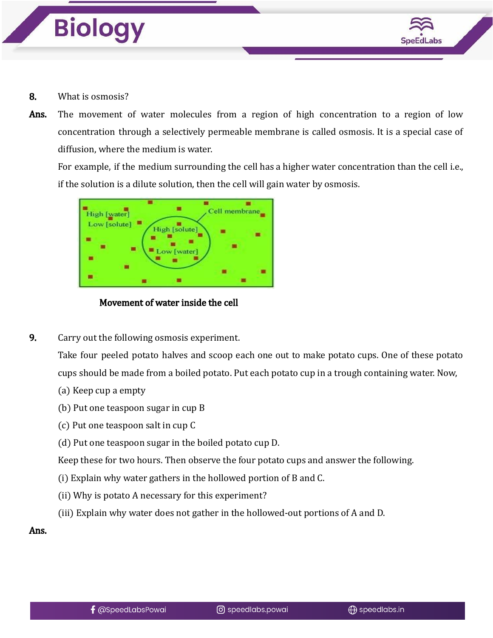



- 8. What is osmosis?
- Ans. The movement of water molecules from a region of high concentration to a region of low concentration through a selectively permeable membrane is called osmosis. It is a special case of diffusion, where the medium is water.

For example, if the medium surrounding the cell has a higher water concentration than the cell i.e., if the solution is a dilute solution, then the cell will gain water by osmosis.



Movement of water inside the cell

9. Carry out the following osmosis experiment.

Take four peeled potato halves and scoop each one out to make potato cups. One of these potato cups should be made from a boiled potato. Put each potato cup in a trough containing water. Now,

- (a) Keep cup a empty
- (b) Put one teaspoon sugar in cup B
- (c) Put one teaspoon salt in cup C
- (d) Put one teaspoon sugar in the boiled potato cup D.

Keep these for two hours. Then observe the four potato cups and answer the following.

- (i) Explain why water gathers in the hollowed portion of B and C.
- (ii) Why is potato A necessary for this experiment?
- (iii) Explain why water does not gather in the hollowed-out portions of A and D.

Ans.